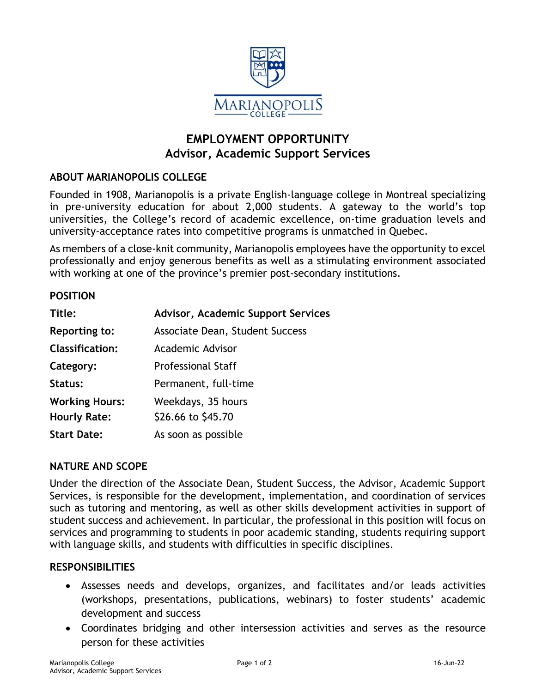

# **EMPLOYMENT OPPORTUNITY Advisor, Academic Support Services**

## **ABOUT MARIANOPOLIS COLLEGE**

Founded in 1908, Marianopolis is a private English-language college in Montreal specializing in pre-university education for about 2,000 students. A gateway to the world's top universities, the College's record of academic excellence, on-time graduation levels and university-acceptance rates into competitive programs is unmatched in Quebec.

As members of a close-knit community, Marianopolis employees have the opportunity to excel professionally and enjoy generous benefits as well as a stimulating environment associated with working at one of the province's premier post-secondary institutions.

#### **POSITION**

| Title:                 | <b>Advisor, Academic Support Services</b> |
|------------------------|-------------------------------------------|
| <b>Reporting to:</b>   | Associate Dean, Student Success           |
| <b>Classification:</b> | Academic Advisor                          |
| Category:              | <b>Professional Staff</b>                 |
| Status:                | Permanent, full-time                      |
| <b>Working Hours:</b>  | Weekdays, 35 hours                        |
| <b>Hourly Rate:</b>    | \$26.66 to \$45.70                        |
| <b>Start Date:</b>     | As soon as possible                       |

#### **NATURE AND SCOPE**

Under the direction of the Associate Dean, Student Success, the Advisor, Academic Support Services, is responsible for the development, implementation, and coordination of services such as tutoring and mentoring, as well as other skills development activities in support of student success and achievement. In particular, the professional in this position will focus on services and programming to students in poor academic standing, students requiring support with language skills, and students with difficulties in specific disciplines.

#### **RESPONSIBILITIES**

- Assesses needs and develops, organizes, and facilitates and/or leads activities (workshops, presentations, publications, webinars) to foster students' academic development and success
- Coordinates bridging and other intersession activities and serves as the resource person for these activities